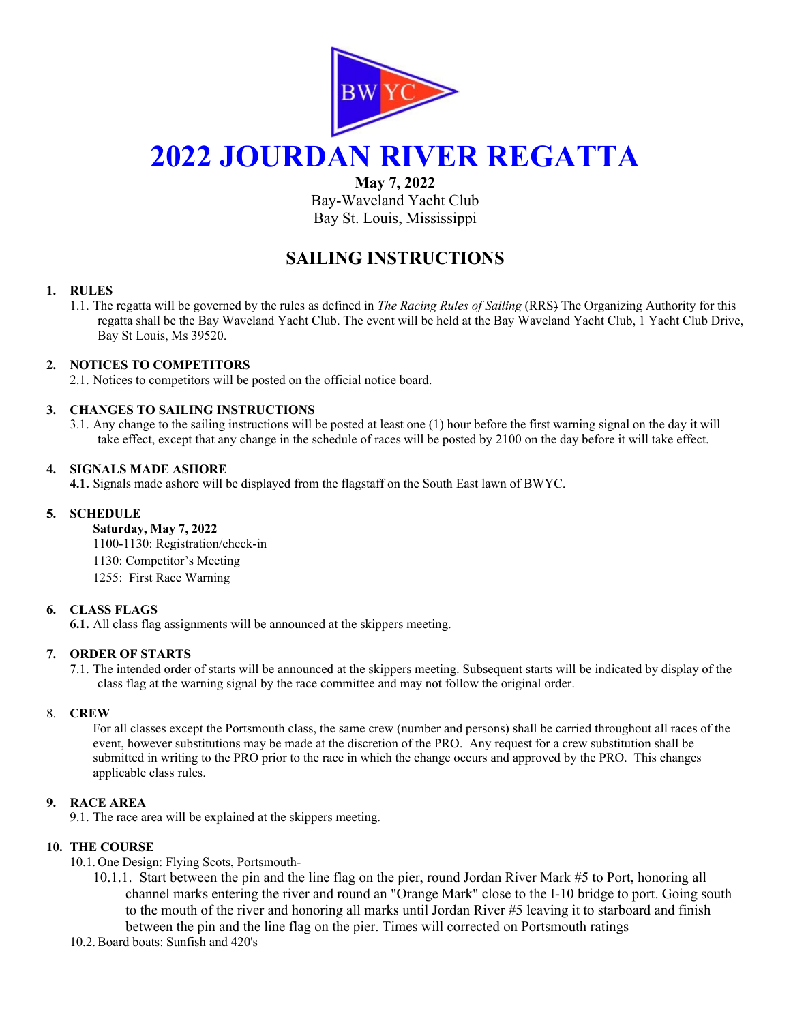

# **2022 JOURDAN RIVER REGATTA**

**May 7, 2022** 

Bay-Waveland Yacht Club Bay St. Louis, Mississippi

# **SAILING INSTRUCTIONS**

# **1. RULES**

1.1. The regatta will be governed by the rules as defined in *The Racing Rules of Sailing* (RRS) The Organizing Authority for this regatta shall be the Bay Waveland Yacht Club. The event will be held at the Bay Waveland Yacht Club, 1 Yacht Club Drive, Bay St Louis, Ms 39520.

# **2. NOTICES TO COMPETITORS**

2.1. Notices to competitors will be posted on the official notice board.

# **3. CHANGES TO SAILING INSTRUCTIONS**

3.1. Any change to the sailing instructions will be posted at least one (1) hour before the first warning signal on the day it will take effect, except that any change in the schedule of races will be posted by 2100 on the day before it will take effect.

# **4. SIGNALS MADE ASHORE**

**4.1.** Signals made ashore will be displayed from the flagstaff on the South East lawn of BWYC.

# **5. SCHEDULE**

**Saturday, May 7, 2022**  1100-1130: Registration/check-in 1130: Competitor's Meeting 1255: First Race Warning

# **6. CLASS FLAGS**

**6.1.** All class flag assignments will be announced at the skippers meeting.

# **7. ORDER OF STARTS**

7.1. The intended order of starts will be announced at the skippers meeting. Subsequent starts will be indicated by display of the class flag at the warning signal by the race committee and may not follow the original order.

# 8. **CREW**

For all classes except the Portsmouth class, the same crew (number and persons) shall be carried throughout all races of the event, however substitutions may be made at the discretion of the PRO. Any request for a crew substitution shall be submitted in writing to the PRO prior to the race in which the change occurs and approved by the PRO. This changes applicable class rules.

# **9. RACE AREA**

9.1. The race area will be explained at the skippers meeting.

# **10. THE COURSE**

10.1. One Design: Flying Scots, Portsmouth-

- 10.1.1. Start between the pin and the line flag on the pier, round Jordan River Mark #5 to Port, honoring all channel marks entering the river and round an "Orange Mark" close to the I-10 bridge to port. Going south to the mouth of the river and honoring all marks until Jordan River #5 leaving it to starboard and finish between the pin and the line flag on the pier. Times will corrected on Portsmouth ratings
- 10.2.Board boats: Sunfish and 420's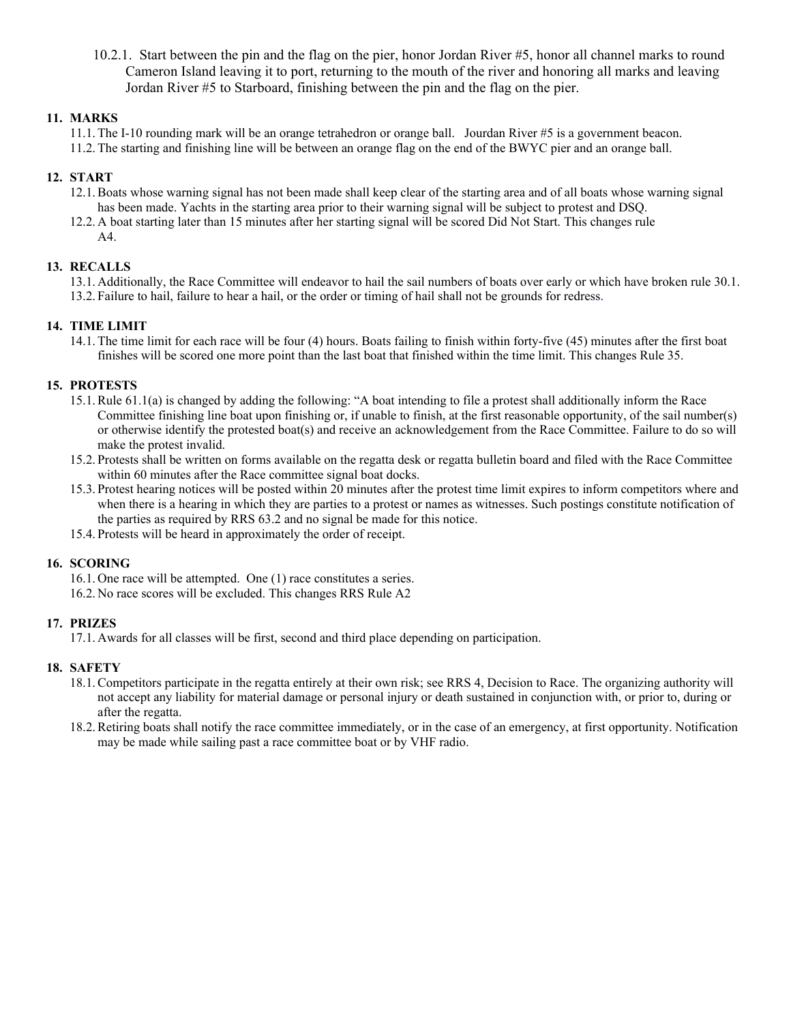10.2.1. Start between the pin and the flag on the pier, honor Jordan River #5, honor all channel marks to round Cameron Island leaving it to port, returning to the mouth of the river and honoring all marks and leaving Jordan River #5 to Starboard, finishing between the pin and the flag on the pier.

# **11. MARKS**

11.1. The I-10 rounding mark will be an orange tetrahedron or orange ball. Jourdan River #5 is a government beacon. 11.2. The starting and finishing line will be between an orange flag on the end of the BWYC pier and an orange ball.

# **12. START**

- 12.1.Boats whose warning signal has not been made shall keep clear of the starting area and of all boats whose warning signal has been made. Yachts in the starting area prior to their warning signal will be subject to protest and DSQ.
- 12.2. A boat starting later than 15 minutes after her starting signal will be scored Did Not Start. This changes rule A4.

# **13. RECALLS**

13.1. Additionally, the Race Committee will endeavor to hail the sail numbers of boats over early or which have broken rule 30.1. 13.2. Failure to hail, failure to hear a hail, or the order or timing of hail shall not be grounds for redress.

# **14. TIME LIMIT**

14.1. The time limit for each race will be four (4) hours. Boats failing to finish within forty-five (45) minutes after the first boat finishes will be scored one more point than the last boat that finished within the time limit. This changes Rule 35.

# **15. PROTESTS**

- 15.1.Rule 61.1(a) is changed by adding the following: "A boat intending to file a protest shall additionally inform the Race Committee finishing line boat upon finishing or, if unable to finish, at the first reasonable opportunity, of the sail number(s) or otherwise identify the protested boat(s) and receive an acknowledgement from the Race Committee. Failure to do so will make the protest invalid.
- 15.2. Protests shall be written on forms available on the regatta desk or regatta bulletin board and filed with the Race Committee within 60 minutes after the Race committee signal boat docks.
- 15.3. Protest hearing notices will be posted within 20 minutes after the protest time limit expires to inform competitors where and when there is a hearing in which they are parties to a protest or names as witnesses. Such postings constitute notification of the parties as required by RRS 63.2 and no signal be made for this notice.
- 15.4. Protests will be heard in approximately the order of receipt.

# **16. SCORING**

16.1. One race will be attempted. One (1) race constitutes a series.

16.2. No race scores will be excluded. This changes RRS Rule A2

# **17. PRIZES**

17.1. Awards for all classes will be first, second and third place depending on participation.

# **18. SAFETY**

- 18.1.Competitors participate in the regatta entirely at their own risk; see RRS 4, Decision to Race. The organizing authority will not accept any liability for material damage or personal injury or death sustained in conjunction with, or prior to, during or after the regatta.
- 18.2.Retiring boats shall notify the race committee immediately, or in the case of an emergency, at first opportunity. Notification may be made while sailing past a race committee boat or by VHF radio.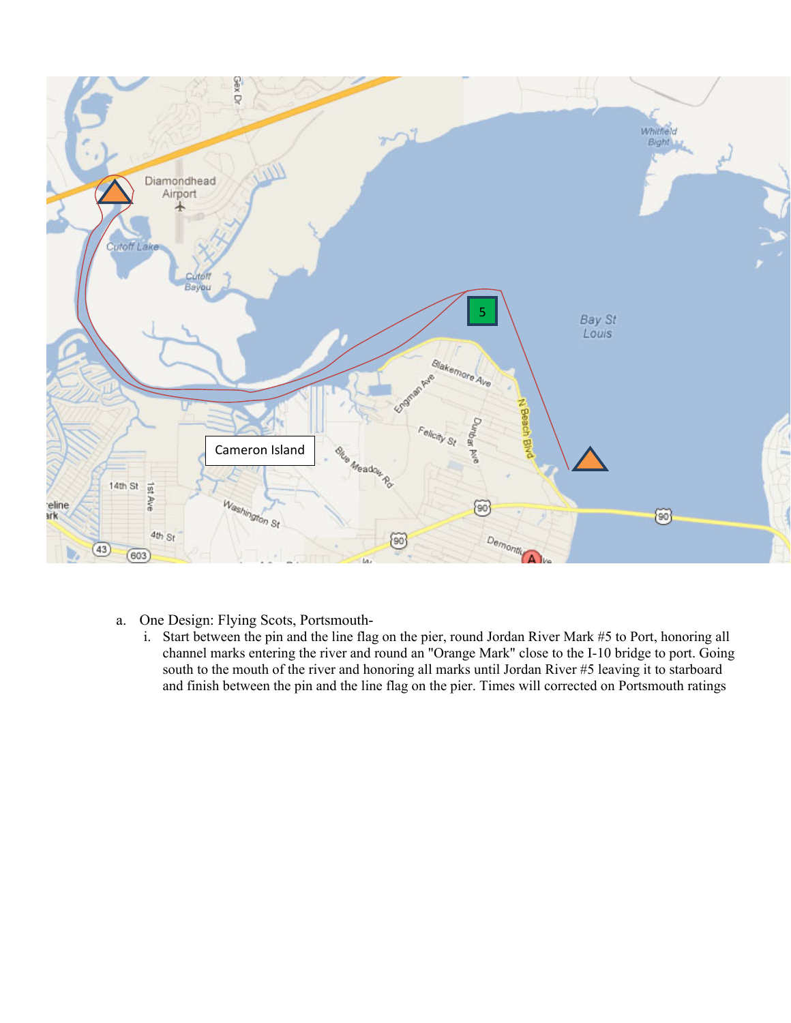

- a. One Design: Flying Scots, Portsmouth
	- i. Start between the pin and the line flag on the pier, round Jordan River Mark #5 to Port, honoring all channel marks entering the river and round an "Orange Mark" close to the I-10 bridge to port. Going south to the mouth of the river and honoring all marks until Jordan River #5 leaving it to starboard and finish between the pin and the line flag on the pier. Times will corrected on Portsmouth ratings